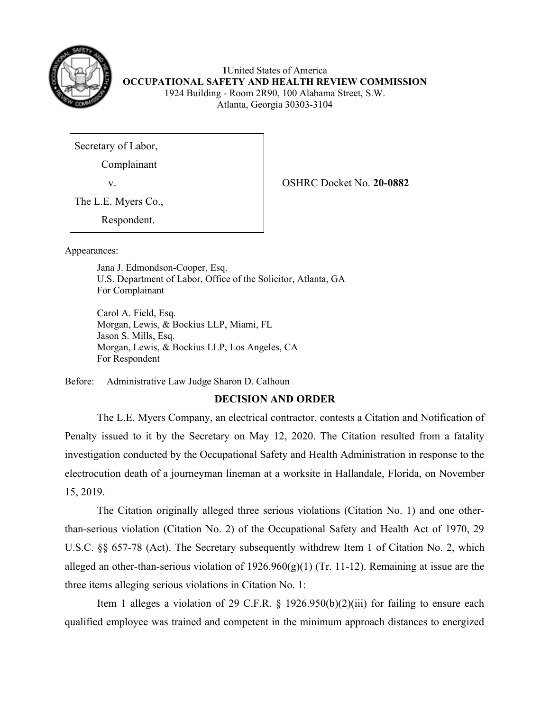

 **1**United States of America  **OCCUPATIONAL SAFETY AND HEALTH REVIEW COMMISSION**  1924 Building - Room 2R90, 100 Alabama Street, S.W. Atlanta, Georgia 30303-3104

Secretary of Labor,

Complainant

v. OSHRC Docket No. **20-0882** 

The L.E. Myers Co.,

Respondent.

Appearances:

 Jana J. Edmondson-Cooper, Esq. U.S. Department of Labor, Office of the Solicitor, Atlanta, GA For Complainant

 Carol A. Field, Esq. Morgan, Lewis, & Bockius LLP, Miami, FL Jason S. Mills, Esq. Morgan, Lewis, & Bockius LLP, Los Angeles, CA For Respondent

Before: Administrative Law Judge Sharon D. Calhoun

# **DECISION AND ORDER**

 The L.E. Myers Company, an electrical contractor, contests a Citation and Notification of Penalty issued to it by the Secretary on May 12, 2020. The Citation resulted from a fatality investigation conducted by the Occupational Safety and Health Administration in response to the electrocution death of a journeyman lineman at a worksite in Hallandale, Florida, on November 15, 2019.

 The Citation originally alleged three serious violations (Citation No. 1) and one other- than-serious violation (Citation No. 2) of the Occupational Safety and Health Act of 1970, 29 U.S.C. §§ 657-78 (Act). The Secretary subsequently withdrew Item 1 of Citation No. 2, which alleged an other-than-serious violation of  $1926.960(g)(1)$  (Tr. 11-12). Remaining at issue are the three items alleging serious violations in Citation No. 1:

Item 1 alleges a violation of 29 C.F.R.  $\S$  1926.950(b)(2)(iii) for failing to ensure each qualified employee was trained and competent in the minimum approach distances to energized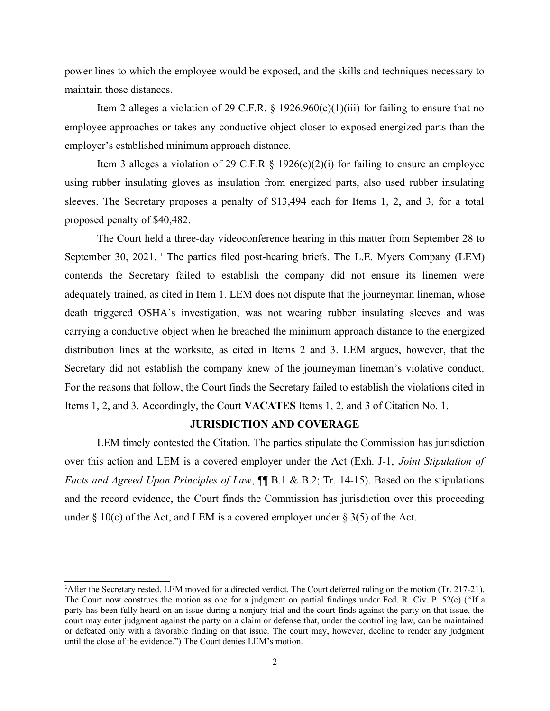power lines to which the employee would be exposed, and the skills and techniques necessary to maintain those distances.

Item 2 alleges a violation of 29 C.F.R.  $\S$  1926.960(c)(1)(iii) for failing to ensure that no employee approaches or takes any conductive object closer to exposed energized parts than the employer's established minimum approach distance.

Item 3 alleges a violation of 29 C.F.R  $\S$  1926(c)(2)(i) for failing to ensure an employee using rubber insulating gloves as insulation from energized parts, also used rubber insulating sleeves. The Secretary proposes a penalty of \$13,494 each for Items 1, 2, and 3, for a total proposed penalty of \$40,482.

<span id="page-1-0"></span> The Court held a three-day videoconference hearing in this matter from September 28 to September 30, 202[1](#page-1-1). <sup>1</sup> The parties filed post-hearing briefs. The L.E. Myers Company (LEM) contends the Secretary failed to establish the company did not ensure its linemen were adequately trained, as cited in Item 1. LEM does not dispute that the journeyman lineman, whose death triggered OSHA's investigation, was not wearing rubber insulating sleeves and was carrying a conductive object when he breached the minimum approach distance to the energized distribution lines at the worksite, as cited in Items 2 and 3. LEM argues, however, that the Secretary did not establish the company knew of the journeyman lineman's violative conduct. For the reasons that follow, the Court finds the Secretary failed to establish the violations cited in Items 1, 2, and 3. Accordingly, the Court **VACATES** Items 1, 2, and 3 of Citation No. 1.

#### **JURISDICTION AND COVERAGE**

 LEM timely contested the Citation. The parties stipulate the Commission has jurisdiction over this action and LEM is a covered employer under the Act (Exh. J-1, *Joint Stipulation of Facts and Agreed Upon Principles of Law*, ¶¶ B.1 & B.2; Tr. 14-15). Based on the stipulations and the record evidence, the Court finds the Commission has jurisdiction over this proceeding under  $\S 10(c)$  of the Act, and LEM is a covered employer under  $\S 3(5)$  of the Act.

<span id="page-1-1"></span> The Court now construes the motion as one for a judgment on partial findings under Fed. R. Civ. P. 52(c) ("If a party has been fully heard on an issue during a nonjury trial and the court finds against the party on that issue, the court may enter judgment against the party on a claim or defense that, under the controlling law, can be maintained or defeated only with a favorable finding on that issue. The court may, however, decline to render any judgment [1](#page-1-0) After the Secretary rested, LEM moved for a directed verdict. The Court deferred ruling on the motion (Tr. 217-21). until the close of the evidence.") The Court denies LEM's motion.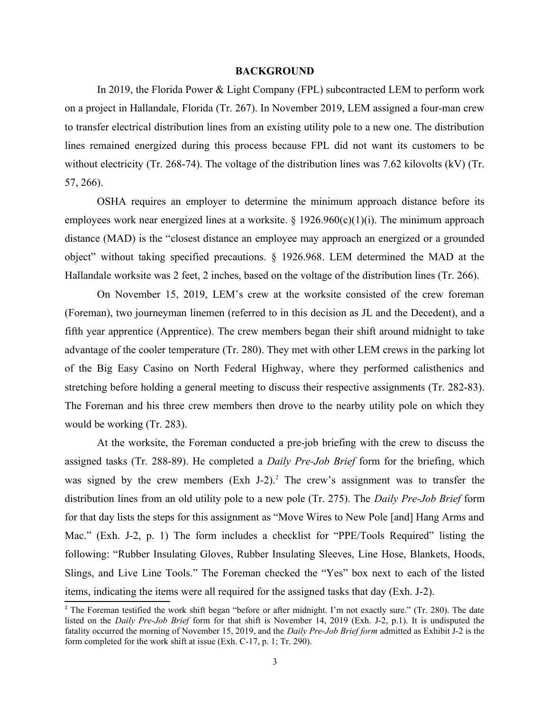#### **BACKGROUND**

 In 2019, the Florida Power & Light Company (FPL) subcontracted LEM to perform work on a project in Hallandale, Florida (Tr. 267). In November 2019, LEM assigned a four-man crew to transfer electrical distribution lines from an existing utility pole to a new one. The distribution lines remained energized during this process because FPL did not want its customers to be without electricity (Tr. 268-74). The voltage of the distribution lines was 7.62 kilovolts (kV) (Tr. 57, 266).

 OSHA requires an employer to determine the minimum approach distance before its employees work near energized lines at a worksite.  $\S 1926.960(c)(1)(i)$ . The minimum approach distance (MAD) is the "closest distance an employee may approach an energized or a grounded object" without taking specified precautions. § 1926.968. LEM determined the MAD at the Hallandale worksite was 2 feet, 2 inches, based on the voltage of the distribution lines (Tr. 266).

 On November 15, 2019, LEM's crew at the worksite consisted of the crew foreman (Foreman), two journeyman linemen (referred to in this decision as JL and the Decedent), and a fifth year apprentice (Apprentice). The crew members began their shift around midnight to take advantage of the cooler temperature (Tr. 280). They met with other LEM crews in the parking lot of the Big Easy Casino on North Federal Highway, where they performed calisthenics and stretching before holding a general meeting to discuss their respective assignments (Tr. 282-83). The Foreman and his three crew members then drove to the nearby utility pole on which they would be working (Tr. 283).

<span id="page-2-0"></span> At the worksite, the Foreman conducted a pre-job briefing with the crew to discuss the assigned tasks (Tr. 288-89). He completed a *Daily Pre-Job Brief* form for the briefing, which was signed by the crew members (Exh J-[2](#page-2-1)).<sup>2</sup> The crew's assignment was to transfer the distribution lines from an old utility pole to a new pole (Tr. 275). The *Daily Pre-Job Brief* form Mac." (Exh. J-2, p. 1) The form includes a checklist for "PPE/Tools Required" listing the following: "Rubber Insulating Gloves, Rubber Insulating Sleeves, Line Hose, Blankets, Hoods, Slings, and Live Line Tools." The Foreman checked the "Yes" box next to each of the listed for that day lists the steps for this assignment as "Move Wires to New Pole [and] Hang Arms and items, indicating the items were all required for the assigned tasks that day (Exh. J-2).

<span id="page-2-1"></span><sup>&</sup>lt;sup>[2](#page-2-0)</sup> The Foreman testified the work shift began "before or after midnight. I'm not exactly sure." (Tr. 280). The date listed on the *Daily Pre-Job Brief* form for that shift is November 14, 2019 (Exh. J-2, p.1). It is undisputed the fatality occurred the morning of November 15, 2019, and the *Daily Pre-Job Brief form* admitted as Exhibit J-2 is the form completed for the work shift at issue (Exh. C-17, p. 1; Tr. 290).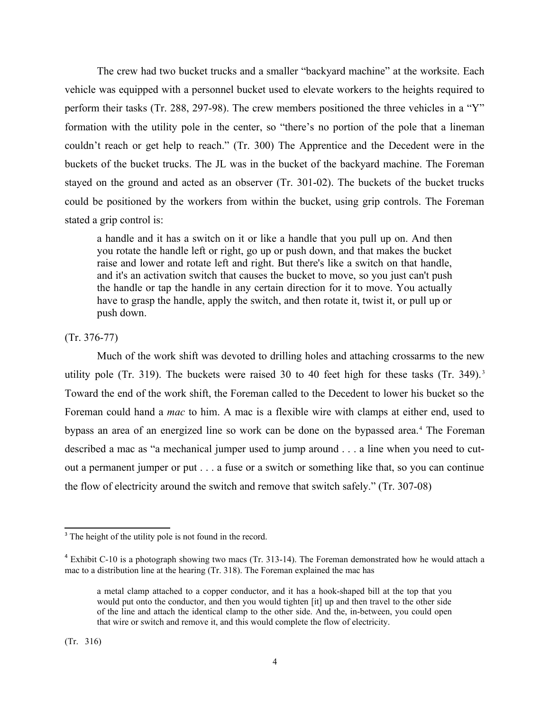The crew had two bucket trucks and a smaller "backyard machine" at the worksite. Each vehicle was equipped with a personnel bucket used to elevate workers to the heights required to perform their tasks (Tr. 288, 297-98). The crew members positioned the three vehicles in a "Y" formation with the utility pole in the center, so "there's no portion of the pole that a lineman couldn't reach or get help to reach." (Tr. 300) The Apprentice and the Decedent were in the buckets of the bucket trucks. The JL was in the bucket of the backyard machine. The Foreman stayed on the ground and acted as an observer (Tr. 301-02). The buckets of the bucket trucks could be positioned by the workers from within the bucket, using grip controls. The Foreman stated a grip control is:

<span id="page-3-0"></span> a handle and it has a switch on it or like a handle that you pull up on. And then you rotate the handle left or right, go up or push down, and that makes the bucket raise and lower and rotate left and right. But there's like a switch on that handle, and it's an activation switch that causes the bucket to move, so you just can't push the handle or tap the handle in any certain direction for it to move. You actually have to grasp the handle, apply the switch, and then rotate it, twist it, or pull up or push down.

(Tr. 376-77)

<span id="page-3-2"></span> Much of the work shift was devoted to drilling holes and attaching crossarms to the new utility pole (Tr. [3](#page-3-1)19). The buckets were raised 30 to 40 feet high for these tasks (Tr. 349).<sup>3</sup> Toward the end of the work shift, the Foreman called to the Decedent to lower his bucket so the Foreman could hand a *mac* to him. A mac is a flexible wire with clamps at either end, used to bypass an area of an energized line so work can be done on the bypassed area.<sup>[4](#page-3-3)</sup> The Foreman described a mac as "a mechanical jumper used to jump around . . . a line when you need to cut- out a permanent jumper or put . . . a fuse or a switch or something like that, so you can continue the flow of electricity around the switch and remove that switch safely." (Tr. 307-08)

<span id="page-3-1"></span><sup>&</sup>lt;sup>[3](#page-3-0)</sup> The height of the utility pole is not found in the record.

<span id="page-3-3"></span> $4$  Exhibit C-10 is a photograph showing two macs (Tr. 313-14). The Foreman demonstrated how he would attach a mac to a distribution line at the hearing (Tr. 318). The Foreman explained the mac has

 a metal clamp attached to a copper conductor, and it has a hook-shaped bill at the top that you would put onto the conductor, and then you would tighten [it] up and then travel to the other side of the line and attach the identical clamp to the other side. And the, in-between, you could open that wire or switch and remove it, and this would complete the flow of electricity.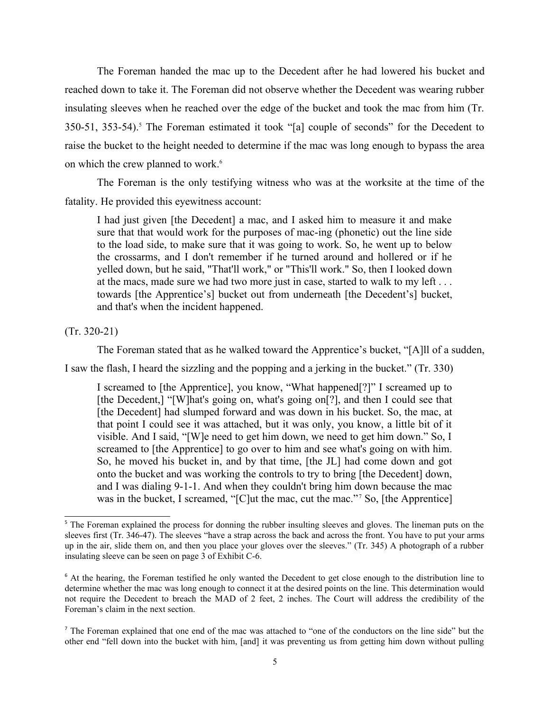<span id="page-4-0"></span> The Foreman handed the mac up to the Decedent after he had lowered his bucket and reached down to take it. The Foreman did not observe whether the Decedent was wearing rubber insulating sleeves when he reached over the edge of the bucket and took the mac from him (Tr.  $350-51$ ,  $353-54$ ).<sup>5</sup> The Foreman estimated it took "[a] couple of seconds" for the Decedent to raise the bucket to the height needed to determine if the mac was long enough to bypass the area on which the crew planned to work.<sup>6</sup>

 The Foreman is the only testifying witness who was at the worksite at the time of the fatality. He provided this eyewitness account:

<span id="page-4-2"></span> I had just given [the Decedent] a mac, and I asked him to measure it and make sure that that would work for the purposes of mac-ing (phonetic) out the line side to the load side, to make sure that it was going to work. So, he went up to below the crossarms, and I don't remember if he turned around and hollered or if he towards [the Apprentice's] bucket out from underneath [the Decedent's] bucket, yelled down, but he said, "That'll work," or "This'll work." So, then I looked down at the macs, made sure we had two more just in case, started to walk to my left . . . and that's when the incident happened.

(Tr. 320-21)

The Foreman stated that as he walked toward the Apprentice's bucket, "[A]ll of a sudden,

I saw the flash, I heard the sizzling and the popping and a jerking in the bucket." (Tr. 330)

<span id="page-4-4"></span> I screamed to [the Apprentice], you know, "What happened[?]" I screamed up to [the Decedent,] "[W]hat's going on, what's going on[?], and then I could see that [the Decedent] had slumped forward and was down in his bucket. So, the mac, at that point I could see it was attached, but it was only, you know, a little bit of it visible. And I said, "[W]e need to get him down, we need to get him down." So, I screamed to [the Apprentice] to go over to him and see what's going on with him. So, he moved his bucket in, and by that time, [the JL] had come down and got onto the bucket and was working the controls to try to bring [the Decedent] down, and I was dialing 9-1-1. And when they couldn't bring him down because the mac was in the bucket, I screamed, "[C]ut the mac, cut the mac."<sup>[7](#page-4-5)</sup> So, [the Apprentice]

<span id="page-4-1"></span><sup>&</sup>lt;sup>[5](#page-4-0)</sup> The Foreman explained the process for donning the rubber insulting sleeves and gloves. The lineman puts on the sleeves first (Tr. 346-47). The sleeves "have a strap across the back and across the front. You have to put your arms up in the air, slide them on, and then you place your gloves over the sleeves." (Tr. 345) A photograph of a rubber insulating sleeve can be seen on page 3 of Exhibit C-6.

<span id="page-4-3"></span> [6](#page-4-2) At the hearing, the Foreman testified he only wanted the Decedent to get close enough to the distribution line to determine whether the mac was long enough to connect it at the desired points on the line. This determination would not require the Decedent to breach the MAD of 2 feet, 2 inches. The Court will address the credibility of the Foreman's claim in the next section.

<span id="page-4-5"></span>TheForeman explained that one end of the mac was attached to "one of the conductors on the line side" but the other end "fell down into the bucket with him, [and] it was preventing us from getting him down without pulling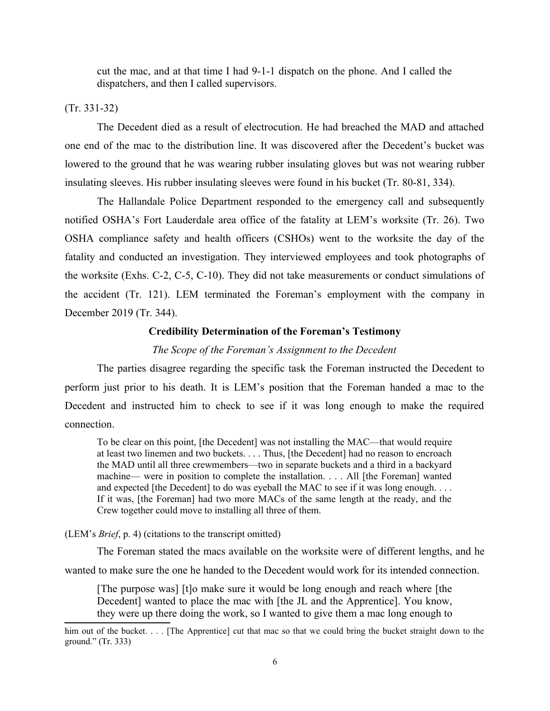cut the mac, and at that time I had 9-1-1 dispatch on the phone. And I called the dispatchers, and then I called supervisors.

# (Tr. 331-32)

 The Decedent died as a result of electrocution. He had breached the MAD and attached one end of the mac to the distribution line. It was discovered after the Decedent's bucket was lowered to the ground that he was wearing rubber insulating gloves but was not wearing rubber insulating sleeves. His rubber insulating sleeves were found in his bucket (Tr. 80-81, 334).

 The Hallandale Police Department responded to the emergency call and subsequently notified OSHA's Fort Lauderdale area office of the fatality at LEM's worksite (Tr. 26). Two OSHA compliance safety and health officers (CSHOs) went to the worksite the day of the fatality and conducted an investigation. They interviewed employees and took photographs of the worksite (Exhs. C-2, C-5, C-10). They did not take measurements or conduct simulations of the accident (Tr. 121). LEM terminated the Foreman's employment with the company in December 2019 (Tr. 344).

### **Credibility Determination of the Foreman's Testimony**

#### *The Scope of the Foreman's Assignment to the Decedent*

 The parties disagree regarding the specific task the Foreman instructed the Decedent to perform just prior to his death. It is LEM's position that the Foreman handed a mac to the Decedent and instructed him to check to see if it was long enough to make the required connection.

 To be clear on this point, [the Decedent] was not installing the MAC—that would require at least two linemen and two buckets. . . . Thus, [the Decedent] had no reason to encroach the MAD until all three crewmembers—two in separate buckets and a third in a backyard machine— were in position to complete the installation. . . . All [the Foreman] wanted and expected [the Decedent] to do was eyeball the MAC to see if it was long enough. . . . If it was, [the Foreman] had two more MACs of the same length at the ready, and the Crew together could move to installing all three of them.

#### (LEM's *Brief*, p. 4) (citations to the transcript omitted)

The Foreman stated the macs available on the worksite were of different lengths, and he

wanted to make sure the one he handed to the Decedent would work for its intended connection.

 [The purpose was] [t]o make sure it would be long enough and reach where [the Decedent] wanted to place the mac with [the JL and the Apprentice]. You know, they were up there doing the work, so I wanted to give them a mac long enough to

 him out of the bucket. . . . [The Apprentice] cut that mac so that we could bring the bucket straight down to the ground." (Tr. 333)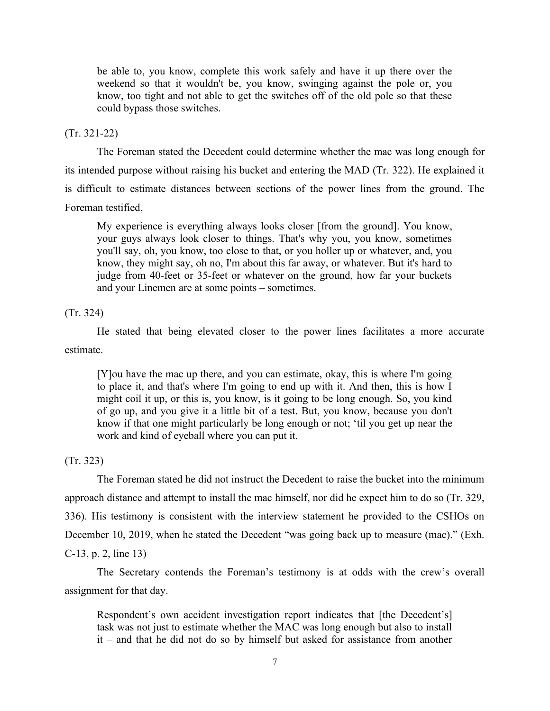be able to, you know, complete this work safely and have it up there over the weekend so that it wouldn't be, you know, swinging against the pole or, you know, too tight and not able to get the switches off of the old pole so that these could bypass those switches.

(Tr. 321-22)

 The Foreman stated the Decedent could determine whether the mac was long enough for its intended purpose without raising his bucket and entering the MAD (Tr. 322). He explained it is difficult to estimate distances between sections of the power lines from the ground. The Foreman testified,

 My experience is everything always looks closer [from the ground]. You know, your guys always look closer to things. That's why you, you know, sometimes you'll say, oh, you know, too close to that, or you holler up or whatever, and, you know, they might say, oh no, I'm about this far away, or whatever. But it's hard to judge from 40-feet or 35-feet or whatever on the ground, how far your buckets and your Linemen are at some points – sometimes.

(Tr. 324)

 He stated that being elevated closer to the power lines facilitates a more accurate estimate.

 [Y]ou have the mac up there, and you can estimate, okay, this is where I'm going to place it, and that's where I'm going to end up with it. And then, this is how I might coil it up, or this is, you know, is it going to be long enough. So, you kind of go up, and you give it a little bit of a test. But, you know, because you don't know if that one might particularly be long enough or not; 'til you get up near the work and kind of eyeball where you can put it.

(Tr. 323)

 The Foreman stated he did not instruct the Decedent to raise the bucket into the minimum approach distance and attempt to install the mac himself, nor did he expect him to do so (Tr. 329, 336). His testimony is consistent with the interview statement he provided to the CSHOs on December 10, 2019, when he stated the Decedent "was going back up to measure (mac)." (Exh. C-13, p. 2, line 13)

 The Secretary contends the Foreman's testimony is at odds with the crew's overall assignment for that day.

 Respondent's own accident investigation report indicates that [the Decedent's] task was not just to estimate whether the MAC was long enough but also to install it – and that he did not do so by himself but asked for assistance from another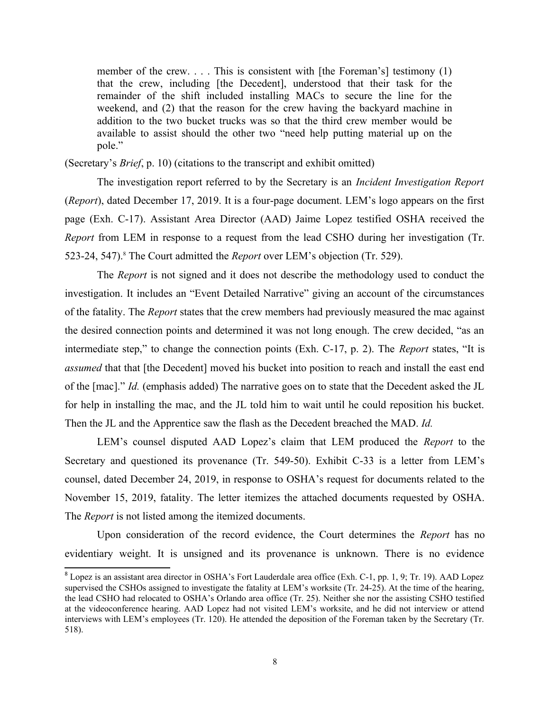member of the crew. . . . This is consistent with [the Foreman's] testimony (1) that the crew, including [the Decedent], understood that their task for the remainder of the shift included installing MACs to secure the line for the weekend, and (2) that the reason for the crew having the backyard machine in addition to the two bucket trucks was so that the third crew member would be available to assist should the other two "need help putting material up on the pole."

(Secretary's *Brief*, p. 10) (citations to the transcript and exhibit omitted)

 The investigation report referred to by the Secretary is an *Incident Investigation Report*  (*Report*), dated December 17, 2019. It is a four-page document. LEM's logo appears on the first page (Exh. C-17). Assistant Area Director (AAD) Jaime Lopez testified OSHA received the *Report* from LEM in response to a request from the lead CSHO during her investigation (Tr. 523-24, 547).<sup>8</sup> The Court admitted the *Report* over LEM's objection (Tr. 529).

<span id="page-7-0"></span> The *Report* is not signed and it does not describe the methodology used to conduct the investigation. It includes an "Event Detailed Narrative" giving an account of the circumstances of the fatality. The *Report* states that the crew members had previously measured the mac against the desired connection points and determined it was not long enough. The crew decided, "as an intermediate step," to change the connection points (Exh. C-17, p. 2). The *Report* states, "It is *assumed* that that [the Decedent] moved his bucket into position to reach and install the east end of the [mac]." *Id.* (emphasis added) The narrative goes on to state that the Decedent asked the JL for help in installing the mac, and the JL told him to wait until he could reposition his bucket. Then the JL and the Apprentice saw the flash as the Decedent breached the MAD. *Id.* 

 LEM's counsel disputed AAD Lopez's claim that LEM produced the *Report* to the Secretary and questioned its provenance (Tr. 549-50). Exhibit C-33 is a letter from LEM's counsel, dated December 24, 2019, in response to OSHA's request for documents related to the November 15, 2019, fatality. The letter itemizes the attached documents requested by OSHA. The *Report* is not listed among the itemized documents.

 Upon consideration of the record evidence, the Court determines the *Report* has no evidentiary weight. It is unsigned and its provenance is unknown. There is no evidence

<span id="page-7-1"></span><sup>&</sup>lt;sup>[8](#page-7-0)</sup> Lopez is an assistant area director in OSHA's Fort Lauderdale area office (Exh. C-1, pp. 1, 9; Tr. 19). AAD Lopez supervised the CSHOs assigned to investigate the fatality at LEM's worksite (Tr. 24-25). At the time of the hearing, the lead CSHO had relocated to OSHA's Orlando area office (Tr. 25). Neither she nor the assisting CSHO testified at the videoconference hearing. AAD Lopez had not visited LEM's worksite, and he did not interview or attend interviews with LEM's employees (Tr. 120). He attended the deposition of the Foreman taken by the Secretary (Tr. 518).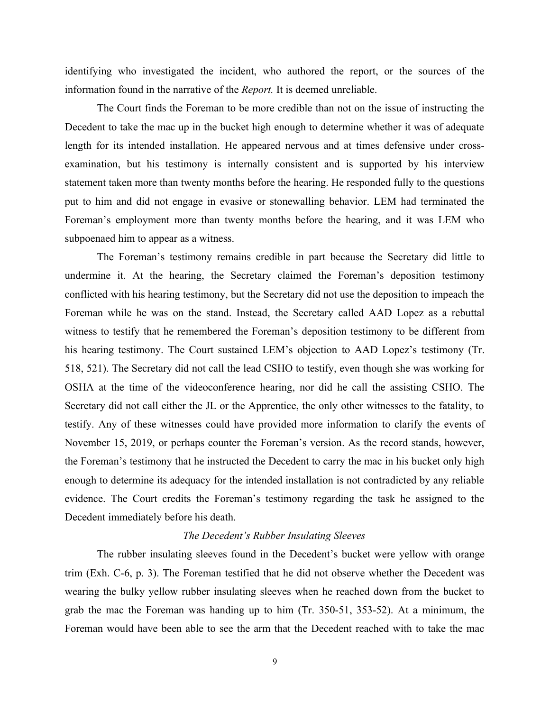identifying who investigated the incident, who authored the report, or the sources of the information found in the narrative of the *Report.* It is deemed unreliable.

 The Court finds the Foreman to be more credible than not on the issue of instructing the Decedent to take the mac up in the bucket high enough to determine whether it was of adequate length for its intended installation. He appeared nervous and at times defensive under cross- examination, but his testimony is internally consistent and is supported by his interview put to him and did not engage in evasive or stonewalling behavior. LEM had terminated the Foreman's employment more than twenty months before the hearing, and it was LEM who statement taken more than twenty months before the hearing. He responded fully to the questions subpoenaed him to appear as a witness.

 The Foreman's testimony remains credible in part because the Secretary did little to undermine it. At the hearing, the Secretary claimed the Foreman's deposition testimony conflicted with his hearing testimony, but the Secretary did not use the deposition to impeach the Foreman while he was on the stand. Instead, the Secretary called AAD Lopez as a rebuttal witness to testify that he remembered the Foreman's deposition testimony to be different from his hearing testimony. The Court sustained LEM's objection to AAD Lopez's testimony (Tr. 518, 521). The Secretary did not call the lead CSHO to testify, even though she was working for OSHA at the time of the videoconference hearing, nor did he call the assisting CSHO. The Secretary did not call either the JL or the Apprentice, the only other witnesses to the fatality, to testify. Any of these witnesses could have provided more information to clarify the events of November 15, 2019, or perhaps counter the Foreman's version. As the record stands, however, the Foreman's testimony that he instructed the Decedent to carry the mac in his bucket only high enough to determine its adequacy for the intended installation is not contradicted by any reliable evidence. The Court credits the Foreman's testimony regarding the task he assigned to the Decedent immediately before his death.

# *The Decedent's Rubber Insulating Sleeves*

 The rubber insulating sleeves found in the Decedent's bucket were yellow with orange trim (Exh. C-6, p. 3). The Foreman testified that he did not observe whether the Decedent was wearing the bulky yellow rubber insulating sleeves when he reached down from the bucket to grab the mac the Foreman was handing up to him (Tr. 350-51, 353-52). At a minimum, the Foreman would have been able to see the arm that the Decedent reached with to take the mac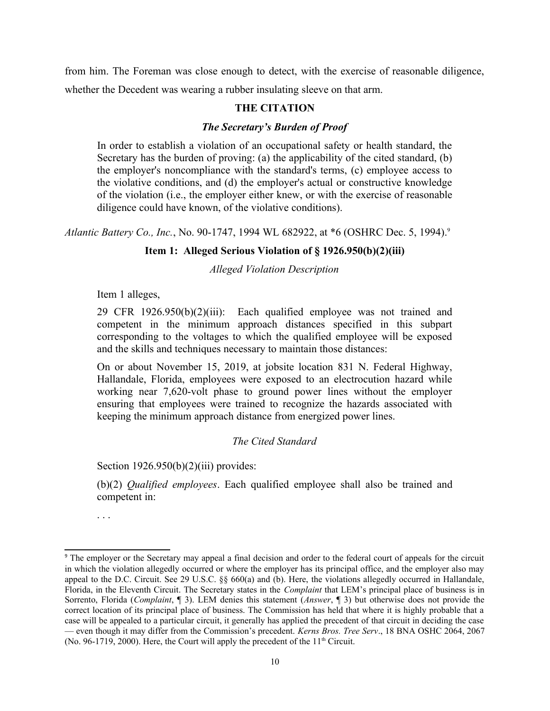from him. The Foreman was close enough to detect, with the exercise of reasonable diligence, whether the Decedent was wearing a rubber insulating sleeve on that arm.

# **THE CITATION**

## *The Secretary's Burden of Proof*

 In order to establish a violation of an occupational safety or health standard, the Secretary has the burden of proving: (a) the applicability of the cited standard, (b) the employer's noncompliance with the standard's terms, (c) employee access to the violative conditions, and (d) the employer's actual or constructive knowledge of the violation (i.e., the employer either knew, or with the exercise of reasonable diligence could have known, of the violative conditions).

*Atlantic Battery Co., Inc.*, No. 90-1747, 1994 WL 682922, at \*6 (OSHRC Dec. 5, 1994).<sup>9</sup>

## **Item 1: Alleged Serious Violation of § 1926.950(b)(2)(iii)**

<span id="page-9-0"></span>*Alleged Violation Description* 

Item 1 alleges,

 29 CFR 1926.950(b)(2)(iii): Each qualified employee was not trained and competent in the minimum approach distances specified in this subpart corresponding to the voltages to which the qualified employee will be exposed and the skills and techniques necessary to maintain those distances:

 On or about November 15, 2019, at jobsite location 831 N. Federal Highway, Hallandale, Florida, employees were exposed to an electrocution hazard while working near 7,620-volt phase to ground power lines without the employer ensuring that employees were trained to recognize the hazards associated with keeping the minimum approach distance from energized power lines.

# *The Cited Standard*

Section  $1926.950(b)(2)(iii)$  provides:

 (b)(2) *Qualified employees*. Each qualified employee shall also be trained and competent in:

. . .

<span id="page-9-1"></span><sup>&</sup>lt;sup>[9](#page-9-0)</sup> The employer or the Secretary may appeal a final decision and order to the federal court of appeals for the circuit in which the violation allegedly occurred or where the employer has its principal office, and the employer also may appeal to the D.C. Circuit. See 29 U.S.C. §§ 660(a) and (b). Here, the violations allegedly occurred in Hallandale, Florida, in the Eleventh Circuit. The Secretary states in the *Complaint* that LEM's principal place of business is in Sorrento, Florida (*Complaint*, ¶ 3). LEM denies this statement (*Answer*, ¶ 3) but otherwise does not provide the correct location of its principal place of business. The Commission has held that where it is highly probable that a case will be appealed to a particular circuit, it generally has applied the precedent of that circuit in deciding the case — even though it may differ from the Commission's precedent. *Kerns Bros. Tree Serv*., 18 BNA OSHC 2064, 2067 (No. 96-1719, 2000). Here, the Court will apply the precedent of the  $11<sup>th</sup>$  Circuit.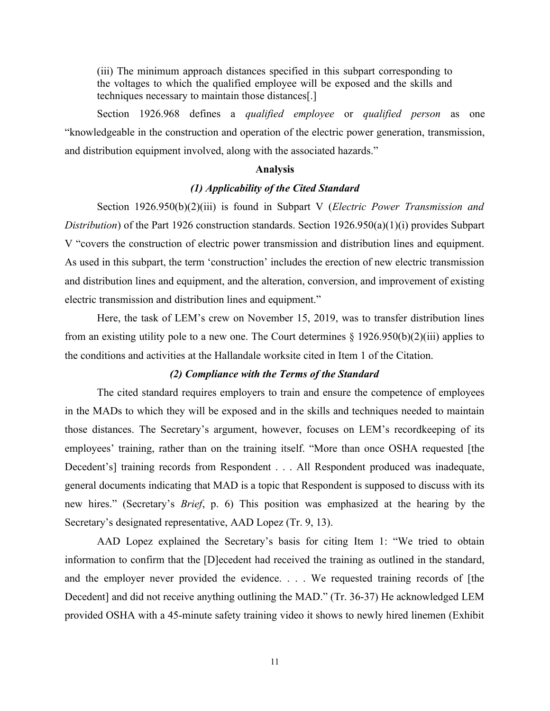(iii) The minimum approach distances specified in this subpart corresponding to the voltages to which the qualified employee will be exposed and the skills and techniques necessary to maintain those distances[.]

 Section 1926.968 defines a *qualified employee* or *qualified person* as one "knowledgeable in the construction and operation of the electric power generation, transmission, and distribution equipment involved, along with the associated hazards."

## **Analysis**

# *(1) Applicability of the Cited Standard*

 Section 1926.950(b)(2)(iii) is found in Subpart V (*Electric Power Transmission and*  V "covers the construction of electric power transmission and distribution lines and equipment. As used in this subpart, the term 'construction' includes the erection of new electric transmission *Distribution*) of the Part 1926 construction standards. Section 1926.950(a)(1)(i) provides Subpart and distribution lines and equipment, and the alteration, conversion, and improvement of existing electric transmission and distribution lines and equipment."

 Here, the task of LEM's crew on November 15, 2019, was to transfer distribution lines from an existing utility pole to a new one. The Court determines § 1926.950(b)(2)(iii) applies to the conditions and activities at the Hallandale worksite cited in Item 1 of the Citation.

# *(2) Compliance with the Terms of the Standard*

 The cited standard requires employers to train and ensure the competence of employees in the MADs to which they will be exposed and in the skills and techniques needed to maintain those distances. The Secretary's argument, however, focuses on LEM's recordkeeping of its employees' training, rather than on the training itself. "More than once OSHA requested [the Decedent's] training records from Respondent . . . All Respondent produced was inadequate, new hires." (Secretary's *Brief*, p. 6) This position was emphasized at the hearing by the general documents indicating that MAD is a topic that Respondent is supposed to discuss with its Secretary's designated representative, AAD Lopez (Tr. 9, 13).

 AAD Lopez explained the Secretary's basis for citing Item 1: "We tried to obtain information to confirm that the [D]ecedent had received the training as outlined in the standard, and the employer never provided the evidence. . . . We requested training records of [the Decedent] and did not receive anything outlining the MAD." (Tr. 36-37) He acknowledged LEM provided OSHA with a 45-minute safety training video it shows to newly hired linemen (Exhibit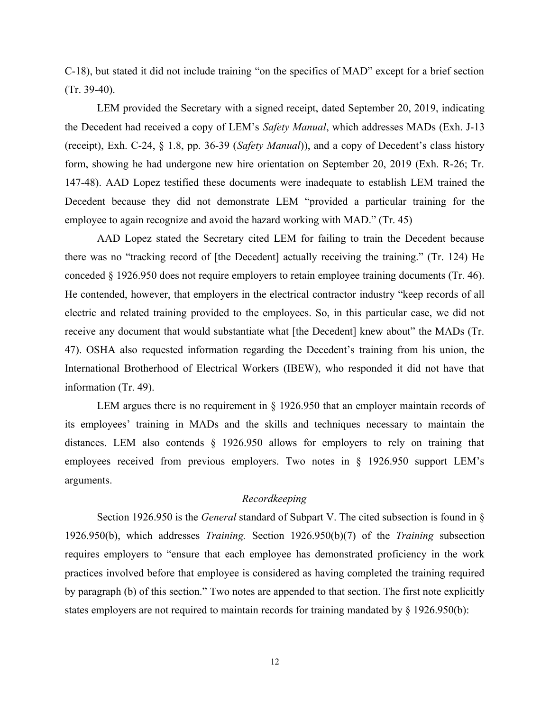C-18), but stated it did not include training "on the specifics of MAD" except for a brief section (Tr. 39-40).

 LEM provided the Secretary with a signed receipt, dated September 20, 2019, indicating the Decedent had received a copy of LEM's *Safety Manual*, which addresses MADs (Exh. J-13 (receipt), Exh. C-24, § 1.8, pp. 36-39 (*Safety Manual*)), and a copy of Decedent's class history form, showing he had undergone new hire orientation on September 20, 2019 (Exh. R-26; Tr. 147-48). AAD Lopez testified these documents were inadequate to establish LEM trained the Decedent because they did not demonstrate LEM "provided a particular training for the employee to again recognize and avoid the hazard working with MAD." (Tr. 45)

 AAD Lopez stated the Secretary cited LEM for failing to train the Decedent because there was no "tracking record of [the Decedent] actually receiving the training." (Tr. 124) He conceded § 1926.950 does not require employers to retain employee training documents (Tr. 46). He contended, however, that employers in the electrical contractor industry "keep records of all electric and related training provided to the employees. So, in this particular case, we did not receive any document that would substantiate what [the Decedent] knew about" the MADs (Tr. 47). OSHA also requested information regarding the Decedent's training from his union, the International Brotherhood of Electrical Workers (IBEW), who responded it did not have that information (Tr. 49).

LEM argues there is no requirement in § 1926.950 that an employer maintain records of its employees' training in MADs and the skills and techniques necessary to maintain the distances. LEM also contends § 1926.950 allows for employers to rely on training that employees received from previous employers. Two notes in § 1926.950 support LEM's arguments.

# *Recordkeeping*

 1926.950(b), which addresses *Training.* Section 1926.950(b)(7) of the *Training* subsection requires employers to "ensure that each employee has demonstrated proficiency in the work practices involved before that employee is considered as having completed the training required Section 1926.950 is the *General* standard of Subpart V. The cited subsection is found in § by paragraph (b) of this section." Two notes are appended to that section. The first note explicitly states employers are not required to maintain records for training mandated by § 1926.950(b):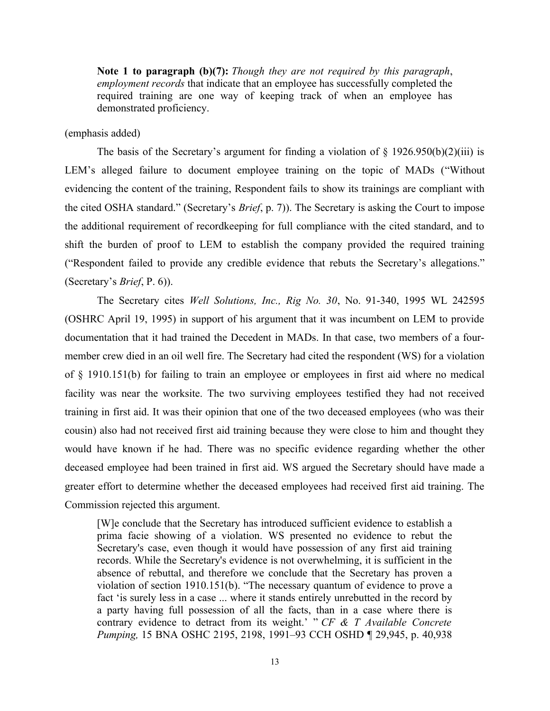**Note 1 to paragraph (b)(7):** *Though they are not required by this paragraph*, required training are one way of keeping track of when an employee has *employment records* that indicate that an employee has successfully completed the demonstrated proficiency.

# (emphasis added)

The basis of the Secretary's argument for finding a violation of  $\S$  1926.950(b)(2)(iii) is LEM's alleged failure to document employee training on the topic of MADs ("Without evidencing the content of the training, Respondent fails to show its trainings are compliant with the cited OSHA standard." (Secretary's *Brief*, p. 7)). The Secretary is asking the Court to impose the additional requirement of recordkeeping for full compliance with the cited standard, and to shift the burden of proof to LEM to establish the company provided the required training ("Respondent failed to provide any credible evidence that rebuts the Secretary's allegations." (Secretary's *Brief*, P. 6)).

 The Secretary cites *Well Solutions, Inc., Rig No. 30*, No. 91-340, 1995 WL 242595 (OSHRC April 19, 1995) in support of his argument that it was incumbent on LEM to provide documentation that it had trained the Decedent in MADs. In that case, two members of a four- of § 1910.151(b) for failing to train an employee or employees in first aid where no medical facility was near the worksite. The two surviving employees testified they had not received training in first aid. It was their opinion that one of the two deceased employees (who was their cousin) also had not received first aid training because they were close to him and thought they would have known if he had. There was no specific evidence regarding whether the other deceased employee had been trained in first aid. WS argued the Secretary should have made a greater effort to determine whether the deceased employees had received first aid training. The member crew died in an oil well fire. The Secretary had cited the respondent (WS) for a violation Commission rejected this argument.

 [W]e conclude that the Secretary has introduced sufficient evidence to establish a prima facie showing of a violation. WS presented no evidence to rebut the Secretary's case, even though it would have possession of any first aid training records. While the Secretary's evidence is not overwhelming, it is sufficient in the absence of rebuttal, and therefore we conclude that the Secretary has proven a violation of section 1910.151(b). "The necessary quantum of evidence to prove a fact 'is surely less in a case ... where it stands entirely unrebutted in the record by a party having full possession of all the facts, than in a case where there is contrary evidence to detract from its weight.' " *CF & T Available Concrete Pumping,* 15 BNA OSHC 2195, 2198, 1991–93 CCH OSHD ¶ 29,945, p. 40,938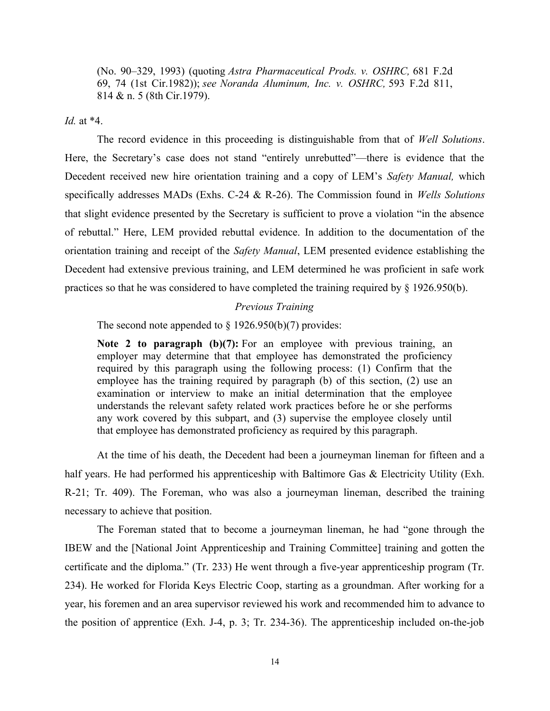(No. 90–329, 1993) (quoting *Astra Pharmaceutical Prods. v. OSHRC,* 681 F.2d 69, 74 (1st Cir.1982)); *see Noranda Aluminum, Inc. v. OSHRC,* 593 F.2d 811, 814 & n. 5 (8th Cir.1979).

*Id.* at \*4.

 The record evidence in this proceeding is distinguishable from that of *Well Solutions*. Here, the Secretary's case does not stand "entirely unrebutted"—there is evidence that the Decedent received new hire orientation training and a copy of LEM's *Safety Manual,* which specifically addresses MADs (Exhs. C-24 & R-26). The Commission found in *Wells Solutions*  that slight evidence presented by the Secretary is sufficient to prove a violation "in the absence of rebuttal." Here, LEM provided rebuttal evidence. In addition to the documentation of the orientation training and receipt of the *Safety Manual*, LEM presented evidence establishing the Decedent had extensive previous training, and LEM determined he was proficient in safe work practices so that he was considered to have completed the training required by § 1926.950(b).

# *Previous Training*

The second note appended to  $\S 1926.950(b)(7)$  provides:

**Note 2 to paragraph (b)(7):** For an employee with previous training, an employer may determine that that employee has demonstrated the proficiency required by this paragraph using the following process: (1) Confirm that the employee has the training required by paragraph (b) of this section, (2) use an examination or interview to make an initial determination that the employee understands the relevant safety related work practices before he or she performs any work covered by this subpart, and (3) supervise the employee closely until that employee has demonstrated proficiency as required by this paragraph.

 At the time of his death, the Decedent had been a journeyman lineman for fifteen and a half years. He had performed his apprenticeship with Baltimore Gas & Electricity Utility (Exh. R-21; Tr. 409). The Foreman, who was also a journeyman lineman, described the training necessary to achieve that position.

 The Foreman stated that to become a journeyman lineman, he had "gone through the IBEW and the [National Joint Apprenticeship and Training Committee] training and gotten the certificate and the diploma." (Tr. 233) He went through a five-year apprenticeship program (Tr. 234). He worked for Florida Keys Electric Coop, starting as a groundman. After working for a year, his foremen and an area supervisor reviewed his work and recommended him to advance to the position of apprentice (Exh. J-4, p. 3; Tr. 234-36). The apprenticeship included on-the-job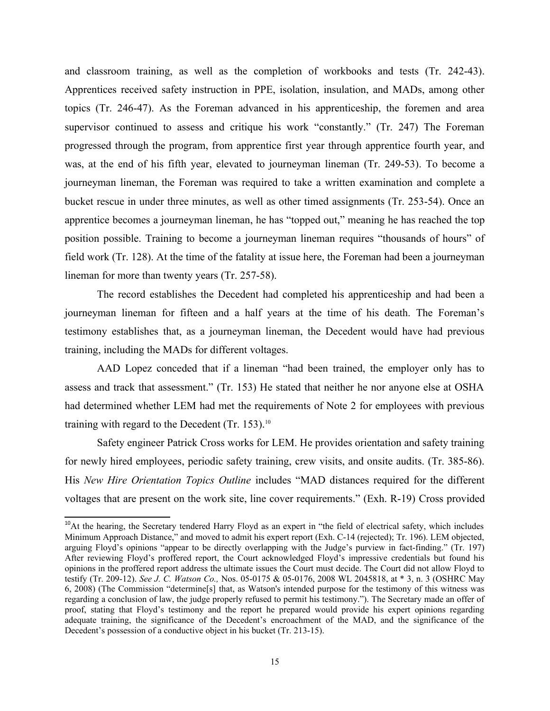and classroom training, as well as the completion of workbooks and tests (Tr. 242-43). Apprentices received safety instruction in PPE, isolation, insulation, and MADs, among other topics (Tr. 246-47). As the Foreman advanced in his apprenticeship, the foremen and area supervisor continued to assess and critique his work "constantly." (Tr. 247) The Foreman progressed through the program, from apprentice first year through apprentice fourth year, and was, at the end of his fifth year, elevated to journeyman lineman (Tr. 249-53). To become a journeyman lineman, the Foreman was required to take a written examination and complete a bucket rescue in under three minutes, as well as other timed assignments (Tr. 253-54). Once an apprentice becomes a journeyman lineman, he has "topped out," meaning he has reached the top position possible. Training to become a journeyman lineman requires "thousands of hours" of field work (Tr. 128). At the time of the fatality at issue here, the Foreman had been a journeyman lineman for more than twenty years (Tr. 257-58).

 The record establishes the Decedent had completed his apprenticeship and had been a journeyman lineman for fifteen and a half years at the time of his death. The Foreman's testimony establishes that, as a journeyman lineman, the Decedent would have had previous training, including the MADs for different voltages.

 AAD Lopez conceded that if a lineman "had been trained, the employer only has to assess and track that assessment." (Tr. 153) He stated that neither he nor anyone else at OSHA had determined whether LEM had met the requirements of Note 2 for employees with previous training with regard to the Decedent (Tr. 153). $10$ 

<span id="page-14-0"></span> for newly hired employees, periodic safety training, crew visits, and onsite audits. (Tr. 385-86).  His *New Hire Orientation Topics Outline* includes "MAD distances required for the different voltages that are present on the work site, line cover requirements." (Exh. R-19) Cross provided Safety engineer Patrick Cross works for LEM. He provides orientation and safety training

<span id="page-14-1"></span><sup>&</sup>lt;sup>[10](#page-14-0)</sup>At the hearing, the Secretary tendered Harry Floyd as an expert in "the field of electrical safety, which includes arguing Floyd's opinions "appear to be directly overlapping with the Judge's purview in fact-finding." (Tr. 197) After reviewing Floyd's proffered report, the Court acknowledged Floyd's impressive credentials but found his opinions in the proffered report address the ultimate issues the Court must decide. The Court did not allow Floyd to testify (Tr. 209-12). *See J. C. Watson Co.,* Nos. 05-0175 & 05-0176, 2008 WL 2045818, at \* 3, n. 3 (OSHRC May 6, 2008) (The Commission "determine[s] that, as Watson's intended purpose for the testimony of this witness was regarding a conclusion of law, the judge properly refused to permit his testimony."). The Secretary made an offer of proof, stating that Floyd's testimony and the report he prepared would provide his expert opinions regarding adequate training, the significance of the Decedent's encroachment of the MAD, and the significance of the Minimum Approach Distance," and moved to admit his expert report (Exh. C-14 (rejected); Tr. 196). LEM objected, Decedent's possession of a conductive object in his bucket (Tr. 213-15).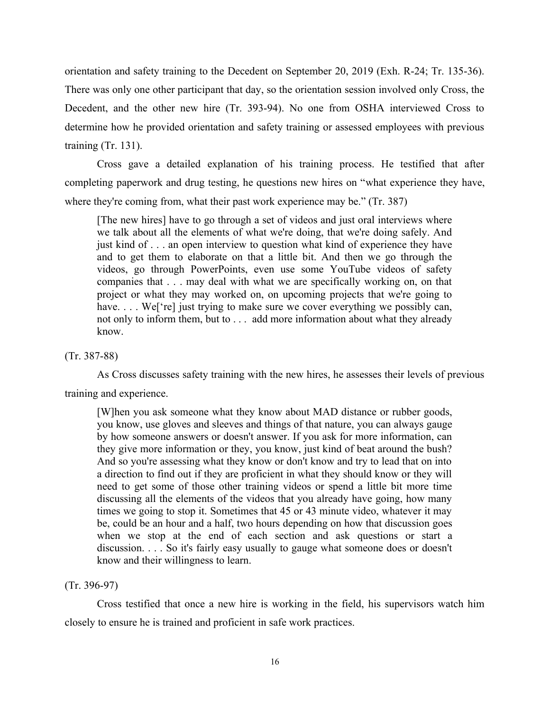orientation and safety training to the Decedent on September 20, 2019 (Exh. R-24; Tr. 135-36). There was only one other participant that day, so the orientation session involved only Cross, the Decedent, and the other new hire (Tr. 393-94). No one from OSHA interviewed Cross to determine how he provided orientation and safety training or assessed employees with previous training (Tr. 131).

 Cross gave a detailed explanation of his training process. He testified that after completing paperwork and drug testing, he questions new hires on "what experience they have, where they're coming from, what their past work experience may be." (Tr. 387)

 [The new hires] have to go through a set of videos and just oral interviews where we talk about all the elements of what we're doing, that we're doing safely. And just kind of . . . an open interview to question what kind of experience they have and to get them to elaborate on that a little bit. And then we go through the videos, go through PowerPoints, even use some YouTube videos of safety companies that . . . may deal with what we are specifically working on, on that project or what they may worked on, on upcoming projects that we're going to have. . . . We['re] just trying to make sure we cover everything we possibly can, not only to inform them, but to . . . add more information about what they already know.

(Tr. 387-88)

 As Cross discusses safety training with the new hires, he assesses their levels of previous training and experience.

 [W]hen you ask someone what they know about MAD distance or rubber goods, you know, use gloves and sleeves and things of that nature, you can always gauge by how someone answers or doesn't answer. If you ask for more information, can they give more information or they, you know, just kind of beat around the bush? And so you're assessing what they know or don't know and try to lead that on into a direction to find out if they are proficient in what they should know or they will need to get some of those other training videos or spend a little bit more time discussing all the elements of the videos that you already have going, how many times we going to stop it. Sometimes that 45 or 43 minute video, whatever it may be, could be an hour and a half, two hours depending on how that discussion goes when we stop at the end of each section and ask questions or start a discussion. . . . So it's fairly easy usually to gauge what someone does or doesn't know and their willingness to learn.

## (Tr. 396-97)

 Cross testified that once a new hire is working in the field, his supervisors watch him closely to ensure he is trained and proficient in safe work practices.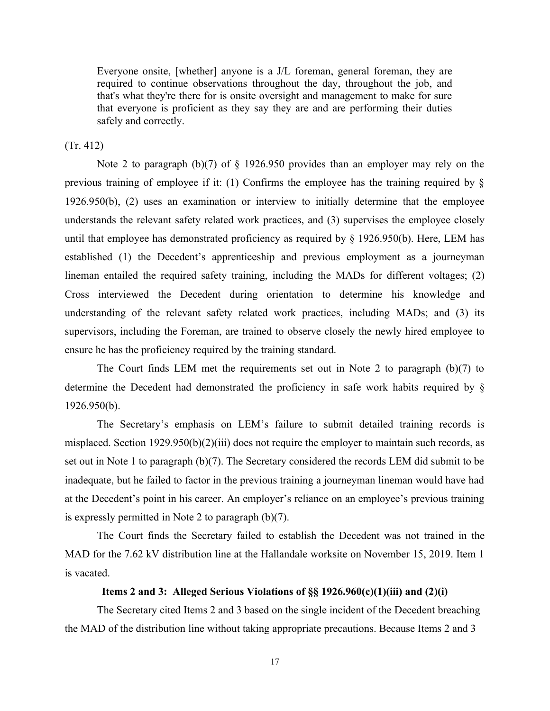Everyone onsite, [whether] anyone is a J/L foreman, general foreman, they are required to continue observations throughout the day, throughout the job, and that's what they're there for is onsite oversight and management to make for sure that everyone is proficient as they say they are and are performing their duties safely and correctly.

(Tr. 412)

 Note 2 to paragraph (b)(7) of § 1926.950 provides than an employer may rely on the previous training of employee if it: (1) Confirms the employee has the training required by § 1926.950(b), (2) uses an examination or interview to initially determine that the employee understands the relevant safety related work practices, and (3) supervises the employee closely until that employee has demonstrated proficiency as required by § 1926.950(b). Here, LEM has established (1) the Decedent's apprenticeship and previous employment as a journeyman lineman entailed the required safety training, including the MADs for different voltages; (2) Cross interviewed the Decedent during orientation to determine his knowledge and understanding of the relevant safety related work practices, including MADs; and (3) its supervisors, including the Foreman, are trained to observe closely the newly hired employee to ensure he has the proficiency required by the training standard.

 The Court finds LEM met the requirements set out in Note 2 to paragraph (b)(7) to determine the Decedent had demonstrated the proficiency in safe work habits required by § 1926.950(b).

 The Secretary's emphasis on LEM's failure to submit detailed training records is set out in Note 1 to paragraph (b)(7). The Secretary considered the records LEM did submit to be inadequate, but he failed to factor in the previous training a journeyman lineman would have had at the Decedent's point in his career. An employer's reliance on an employee's previous training misplaced. Section 1929.950(b)(2)(iii) does not require the employer to maintain such records, as is expressly permitted in Note 2 to paragraph (b)(7).

 The Court finds the Secretary failed to establish the Decedent was not trained in the MAD for the 7.62 kV distribution line at the Hallandale worksite on November 15, 2019. Item 1 is vacated.

# **Items 2 and 3: Alleged Serious Violations of §§ 1926.960(c)(1)(iii) and (2)(i)**

The Secretary cited Items 2 and 3 based on the single incident of the Decedent breaching the MAD of the distribution line without taking appropriate precautions. Because Items 2 and 3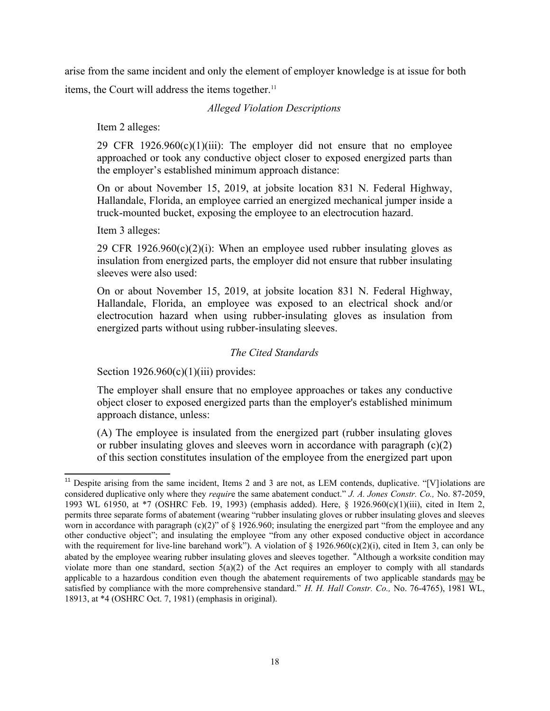arise from the same incident and only the element of employer knowledge is at issue for both items, the Court will address the items together.<sup>11</sup>

# <span id="page-17-0"></span>*Alleged Violation Descriptions*

Item 2 alleges:

29 CFR  $1926.960(c)(1)(iii)$ : The employer did not ensure that no employee approached or took any conductive object closer to exposed energized parts than the employer's established minimum approach distance:

 On or about November 15, 2019, at jobsite location 831 N. Federal Highway, Hallandale, Florida, an employee carried an energized mechanical jumper inside a truck-mounted bucket, exposing the employee to an electrocution hazard.

Item 3 alleges:

29 CFR  $1926.960(c)(2)(i)$ : When an employee used rubber insulating gloves as insulation from energized parts, the employer did not ensure that rubber insulating sleeves were also used:

 On or about November 15, 2019, at jobsite location 831 N. Federal Highway, Hallandale, Florida, an employee was exposed to an electrical shock and/or electrocution hazard when using rubber-insulating gloves as insulation from energized parts without using rubber-insulating sleeves.

# *The Cited Standards*

Section  $1926.960(c)(1)(iii)$  provides:

 The employer shall ensure that no employee approaches or takes any conductive object closer to exposed energized parts than the employer's established minimum approach distance, unless:

 (A) The employee is insulated from the energized part (rubber insulating gloves or rubber insulating gloves and sleeves worn in accordance with paragraph (c)(2) of this section constitutes insulation of the employee from the energized part upon

<span id="page-17-1"></span> $11$  Despite arising from the same incident, Items 2 and 3 are not, as LEM contends, duplicative. "[V] iolations are considered duplicative only where they *requir*e the same abatement conduct." *J. A. Jones Constr. Co.,* No. 87-2059, 1993 WL 61950, at \*7 (OSHRC Feb. 19, 1993) (emphasis added). Here, § 1926.960(c)(1)(iii), cited in Item 2, worn in accordance with paragraph  $(c)(2)$ " of § 1926.960; insulating the energized part "from the employee and any other conductive object"; and insulating the employee "from any other exposed conductive object in accordance with the requirement for live-line barehand work"). A violation of  $\S 1926.960(c)(2)(i)$ , cited in Item 3, can only be abated by the employee wearing rubber insulating gloves and sleeves together. "Although a worksite condition may violate more than one standard, section 5(a)(2) of the Act requires an employer to comply with all standards applicable to a hazardous condition even though the abatement requirements of two applicable standards may be satisfied by compliance with the more comprehensive standard." *H. H. Hall Constr. Co.,* No. 76-4765), 1981 WL, permits three separate forms of abatement (wearing "rubber insulating gloves or rubber insulating gloves and sleeves 18913, at \*4 (OSHRC Oct. 7, 1981) (emphasis in original).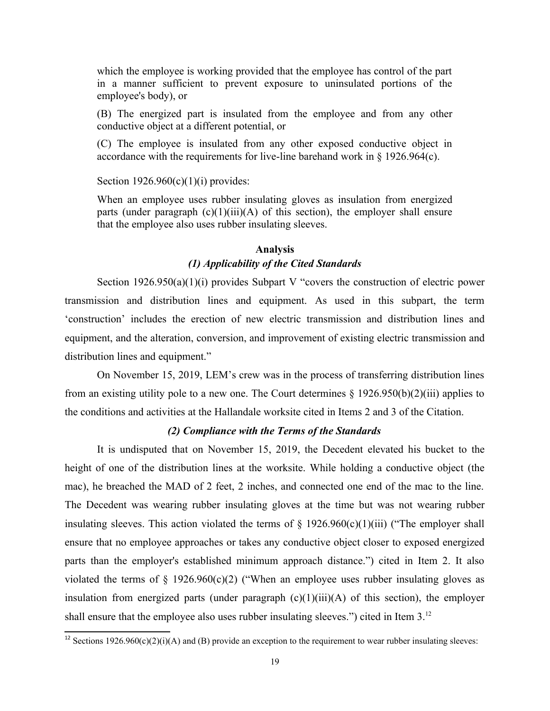which the employee is working provided that the employee has control of the part in a manner sufficient to prevent exposure to uninsulated portions of the employee's body), or

 (B) The energized part is insulated from the employee and from any other conductive object at a different potential, or

 (C) The employee is insulated from any other exposed conductive object in accordance with the requirements for live-line barehand work in § 1926.964(c).

#### Section  $1926.960(c)(1)(i)$  provides:

 When an employee uses rubber insulating gloves as insulation from energized parts (under paragraph (c)(1)(iii)(A) of this section), the employer shall ensure that the employee also uses rubber insulating sleeves.

# **Analysis**  *(1) Applicability of the Cited Standards*

 Section 1926.950(a)(1)(i) provides Subpart V "covers the construction of electric power transmission and distribution lines and equipment. As used in this subpart, the term 'construction' includes the erection of new electric transmission and distribution lines and equipment, and the alteration, conversion, and improvement of existing electric transmission and distribution lines and equipment."

 On November 15, 2019, LEM's crew was in the process of transferring distribution lines from an existing utility pole to a new one. The Court determines § 1926.950(b)(2)(iii) applies to the conditions and activities at the Hallandale worksite cited in Items 2 and 3 of the Citation.

# <span id="page-18-0"></span>*(2) Compliance with the Terms of the Standards*

 It is undisputed that on November 15, 2019, the Decedent elevated his bucket to the height of one of the distribution lines at the worksite. While holding a conductive object (the mac), he breached the MAD of 2 feet, 2 inches, and connected one end of the mac to the line. The Decedent was wearing rubber insulating gloves at the time but was not wearing rubber insulating sleeves. This action violated the terms of  $\S$  1926.960(c)(1)(iii) ("The employer shall ensure that no employee approaches or takes any conductive object closer to exposed energized parts than the employer's established minimum approach distance.") cited in Item 2. It also violated the terms of  $\S$  1926.960(c)(2) ("When an employee uses rubber insulating gloves as insulation from energized parts (under paragraph (c)(1)(iii)(A) of this section), the employer shall ensure that the employee also uses rubber insulating sleeves.") cited in Item  $3^{12}$ 

<span id="page-18-1"></span><sup>&</sup>lt;sup>[12](#page-18-0)</sup> Sections 1926.960(c)(2)(i)(A) and (B) provide an exception to the requirement to wear rubber insulating sleeves:  $19$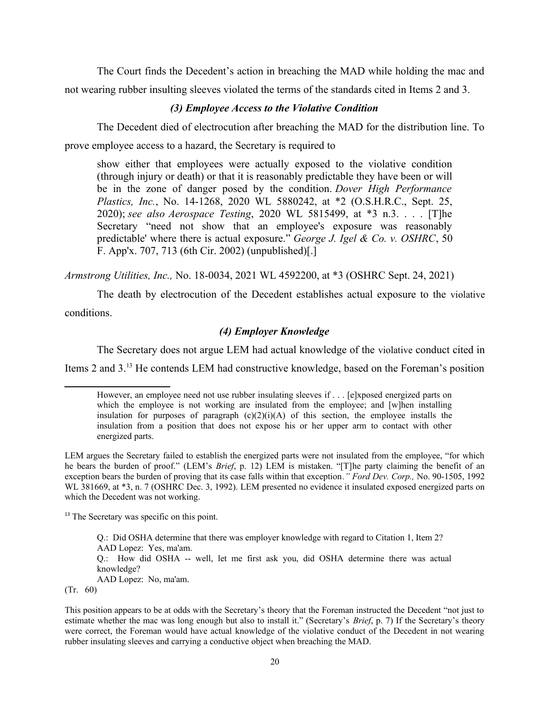The Court finds the Decedent's action in breaching the MAD while holding the mac and not wearing rubber insulting sleeves violated the terms of the standards cited in Items 2 and 3.

# *(3) Employee Access to the Violative Condition*

 The Decedent died of electrocution after breaching the MAD for the distribution line. To prove employee access to a hazard, the Secretary is required to

 show either that employees were actually exposed to the violative condition (through injury or death) or that it is reasonably predictable they have been or will be in the zone of danger posed by the condition. *Dover High Performance Plastics, Inc.*, No. 14-1268, 2020 WL 5880242, at \*2 (O.S.H.R.C., Sept. 25,  2020); *see also Aerospace Testing*, 2020 WL 5815499, at \*3 n.3. . . . [T]he Secretary "need not show that an employee's exposure was reasonably predictable' where there is actual exposure." *George J. Igel & Co. v. OSHRC*, 50 F. App'x. 707, 713 (6th Cir. 2002) (unpublished)[.]

*Armstrong Utilities, Inc.,* No. 18-0034, 2021 WL 4592200, at \*3 (OSHRC Sept. 24, 2021)

 The death by electrocution of the Decedent establishes actual exposure to the violative conditions.

# *(4) Employer Knowledge*

The Secretary does not argue LEM had actual knowledge of the violative conduct cited in

Items 2 and 3.<sup>13</sup> He contends LEM had constructive knowledge, based on the Foreman's position

 LEM argues the Secretary failed to establish the energized parts were not insulated from the employee, "for which he bears the burden of proof." (LEM's *Brief*, p. 12) LEM is mistaken. "[T]he party claiming the benefit of an exception bears the burden of proving that its case falls within that exception*." Ford Dev. Corp.,* No. 90-1505, 1992 WL 381669, at \*3, n. 7 (OSHRC Dec. 3, 1992). LEM presented no evidence it insulated exposed energized parts on which the Decedent was not working.

<span id="page-19-1"></span><sup>[13](#page-19-0)</sup> The Secretary was specific on this point.

 Q.: How did OSHA -- well, let me first ask you, did OSHA determine there was actual Q.: Did OSHA determine that there was employer knowledge with regard to Citation 1, Item 2? AAD Lopez: Yes, ma'am. knowledge? AAD Lopez: No, ma'am. (Tr. 60)

 This position appears to be at odds with the Secretary's theory that the Foreman instructed the Decedent "not just to estimate whether the mac was long enough but also to install it." (Secretary's *Brief*, p. 7) If the Secretary's theory were correct, the Foreman would have actual knowledge of the violative conduct of the Decedent in not wearing rubber insulating sleeves and carrying a conductive object when breaching the MAD.

<span id="page-19-0"></span> However, an employee need not use rubber insulating sleeves if . . . [e]xposed energized parts on which the employee is not working are insulated from the employee; and [w]hen installing insulation for purposes of paragraph  $(c)(2)(i)(A)$  of this section, the employee installs the insulation from a position that does not expose his or her upper arm to contact with other energized parts.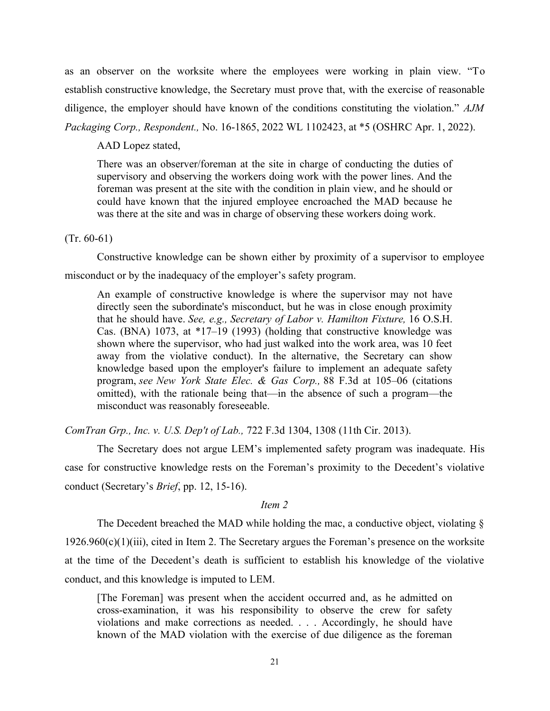as an observer on the worksite where the employees were working in plain view. "To establish constructive knowledge, the Secretary must prove that, with the exercise of reasonable diligence, the employer should have known of the conditions constituting the violation." *AJM Packaging Corp., Respondent.,* No. 16-1865, 2022 WL 1102423, at \*5 (OSHRC Apr. 1, 2022).

AAD Lopez stated,

 There was an observer/foreman at the site in charge of conducting the duties of supervisory and observing the workers doing work with the power lines. And the foreman was present at the site with the condition in plain view, and he should or could have known that the injured employee encroached the MAD because he was there at the site and was in charge of observing these workers doing work.

### (Tr. 60-61)

 Constructive knowledge can be shown either by proximity of a supervisor to employee misconduct or by the inadequacy of the employer's safety program.

 An example of constructive knowledge is where the supervisor may not have directly seen the subordinate's misconduct, but he was in close enough proximity that he should have. *See, e.g., Secretary of Labor v. Hamilton Fixture,* 16 O.S.H. Cas. (BNA) 1073, at \*17–19 (1993) (holding that constructive knowledge was shown where the supervisor, who had just walked into the work area, was 10 feet away from the violative conduct). In the alternative, the Secretary can show knowledge based upon the employer's failure to implement an adequate safety  program, *see New York State Elec. & Gas Corp.,* 88 F.3d at 105–06 (citations omitted), with the rationale being that—in the absence of such a program—the misconduct was reasonably foreseeable.

*ComTran Grp., Inc. v. U.S. Dep't of Lab.,* 722 F.3d 1304, 1308 (11th Cir. 2013).

 The Secretary does not argue LEM's implemented safety program was inadequate. His case for constructive knowledge rests on the Foreman's proximity to the Decedent's violative conduct (Secretary's *Brief*, pp. 12, 15-16).

## *Item 2*

 The Decedent breached the MAD while holding the mac, a conductive object, violating § at the time of the Decedent's death is sufficient to establish his knowledge of the violative  $1926.960(c)(1)(iii)$ , cited in Item 2. The Secretary argues the Foreman's presence on the worksite conduct, and this knowledge is imputed to LEM.

 [The Foreman] was present when the accident occurred and, as he admitted on cross-examination, it was his responsibility to observe the crew for safety violations and make corrections as needed. . . . Accordingly, he should have known of the MAD violation with the exercise of due diligence as the foreman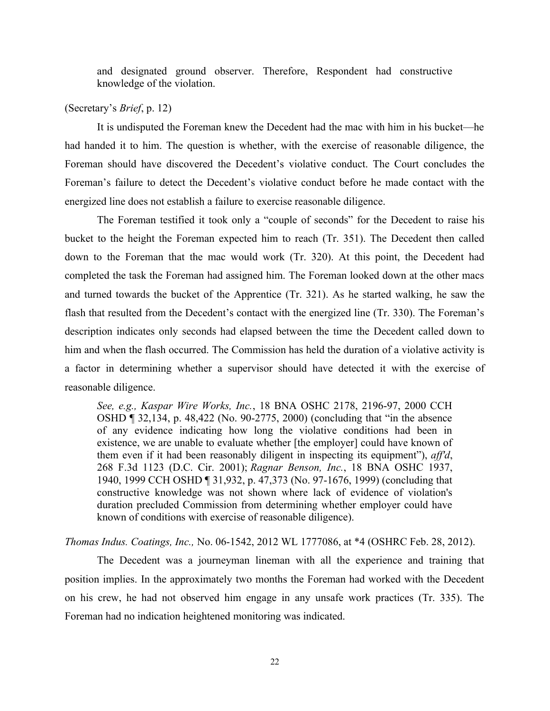and designated ground observer. Therefore, Respondent had constructive knowledge of the violation.

# (Secretary's *Brief*, p. 12)

 It is undisputed the Foreman knew the Decedent had the mac with him in his bucket—he had handed it to him. The question is whether, with the exercise of reasonable diligence, the Foreman should have discovered the Decedent's violative conduct. The Court concludes the Foreman's failure to detect the Decedent's violative conduct before he made contact with the energized line does not establish a failure to exercise reasonable diligence.

 The Foreman testified it took only a "couple of seconds" for the Decedent to raise his bucket to the height the Foreman expected him to reach (Tr. 351). The Decedent then called down to the Foreman that the mac would work (Tr. 320). At this point, the Decedent had completed the task the Foreman had assigned him. The Foreman looked down at the other macs and turned towards the bucket of the Apprentice (Tr. 321). As he started walking, he saw the flash that resulted from the Decedent's contact with the energized line (Tr. 330). The Foreman's description indicates only seconds had elapsed between the time the Decedent called down to him and when the flash occurred. The Commission has held the duration of a violative activity is a factor in determining whether a supervisor should have detected it with the exercise of reasonable diligence.

 *See, e.g., Kaspar Wire Works, Inc.*, 18 BNA OSHC 2178, 2196-97, 2000 CCH OSHD ¶ 32,134, p. 48,422 (No. 90-2775, 2000) (concluding that "in the absence of any evidence indicating how long the violative conditions had been in existence, we are unable to evaluate whether [the employer] could have known of them even if it had been reasonably diligent in inspecting its equipment"), *aff'd*, 268 F.3d 1123 (D.C. Cir. 2001); *Ragnar Benson, Inc.*, 18 BNA OSHC 1937, constructive knowledge was not shown where lack of evidence of violation's duration precluded Commission from determining whether employer could have 1940, 1999 CCH OSHD ¶ 31,932, p. 47,373 (No. 97-1676, 1999) (concluding that known of conditions with exercise of reasonable diligence).

*Thomas Indus. Coatings, Inc.,* No. 06-1542, 2012 WL 1777086, at \*4 (OSHRC Feb. 28, 2012).

 The Decedent was a journeyman lineman with all the experience and training that position implies. In the approximately two months the Foreman had worked with the Decedent on his crew, he had not observed him engage in any unsafe work practices (Tr. 335). The Foreman had no indication heightened monitoring was indicated.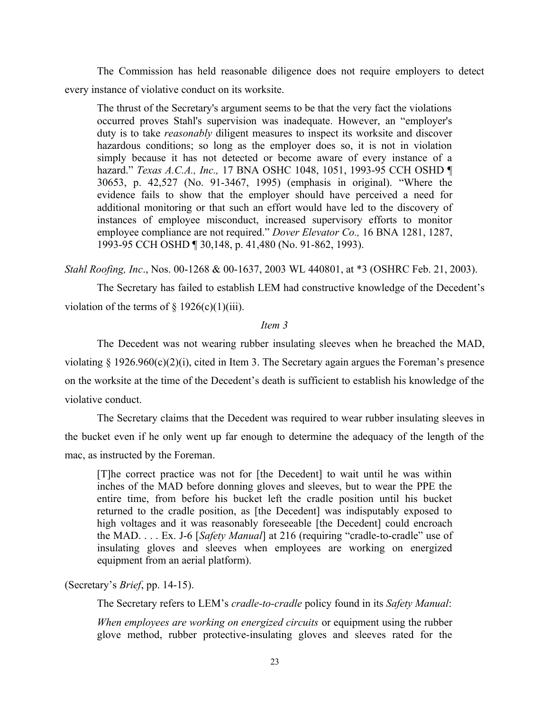The Commission has held reasonable diligence does not require employers to detect every instance of violative conduct on its worksite.

 The thrust of the Secretary's argument seems to be that the very fact the violations occurred proves Stahl's supervision was inadequate. However, an "employer's duty is to take *reasonably* diligent measures to inspect its worksite and discover hazardous conditions; so long as the employer does so, it is not in violation simply because it has not detected or become aware of every instance of a  hazard." *Texas A.C.A., Inc.,* 17 BNA OSHC 1048, 1051, 1993-95 CCH OSHD ¶ 30653, p. 42,527 (No. 91-3467, 1995) (emphasis in original). "Where the evidence fails to show that the employer should have perceived a need for additional monitoring or that such an effort would have led to the discovery of instances of employee misconduct, increased supervisory efforts to monitor employee compliance are not required." *Dover Elevator Co.,* 16 BNA 1281, 1287, 1993-95 CCH OSHD ¶ 30,148, p. 41,480 (No. 91-862, 1993).

*Stahl Roofing, Inc*., Nos. 00-1268 & 00-1637, 2003 WL 440801, at \*3 (OSHRC Feb. 21, 2003).

 The Secretary has failed to establish LEM had constructive knowledge of the Decedent's violation of the terms of  $\S 1926(c)(1)(iii)$ .

#### *Item 3*

 The Decedent was not wearing rubber insulating sleeves when he breached the MAD, violating § 1926.960(c)(2)(i), cited in Item 3. The Secretary again argues the Foreman's presence on the worksite at the time of the Decedent's death is sufficient to establish his knowledge of the violative conduct.

 The Secretary claims that the Decedent was required to wear rubber insulating sleeves in the bucket even if he only went up far enough to determine the adequacy of the length of the mac, as instructed by the Foreman.

 [T]he correct practice was not for [the Decedent] to wait until he was within inches of the MAD before donning gloves and sleeves, but to wear the PPE the entire time, from before his bucket left the cradle position until his bucket returned to the cradle position, as [the Decedent] was indisputably exposed to high voltages and it was reasonably foreseeable [the Decedent] could encroach the MAD. . . . Ex. J-6 [*Safety Manual*] at 216 (requiring "cradle-to-cradle" use of insulating gloves and sleeves when employees are working on energized equipment from an aerial platform).

# (Secretary's *Brief*, pp. 14-15).

The Secretary refers to LEM's *cradle-to-cradle* policy found in its *Safety Manual*:

When employees are working on energized circuits or equipment using the rubber glove method, rubber protective-insulating gloves and sleeves rated for the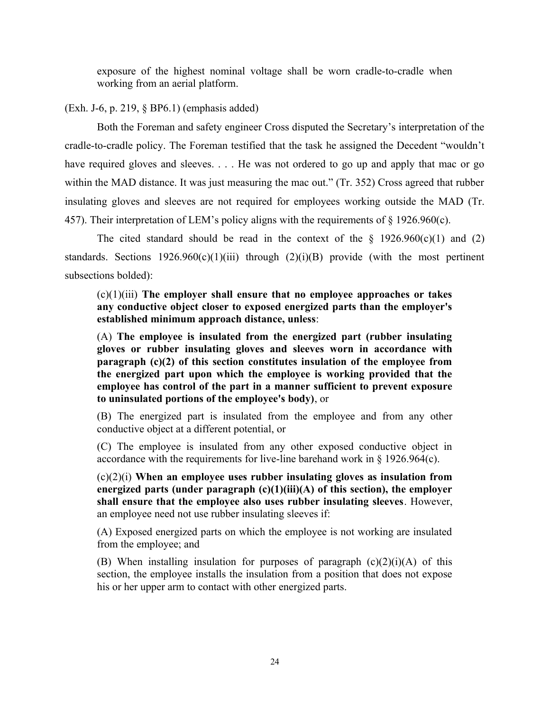exposure of the highest nominal voltage shall be worn cradle-to-cradle when working from an aerial platform.

# (Exh. J-6, p. 219, § BP6.1) (emphasis added)

 Both the Foreman and safety engineer Cross disputed the Secretary's interpretation of the cradle-to-cradle policy. The Foreman testified that the task he assigned the Decedent "wouldn't have required gloves and sleeves. . . . He was not ordered to go up and apply that mac or go within the MAD distance. It was just measuring the mac out." (Tr. 352) Cross agreed that rubber insulating gloves and sleeves are not required for employees working outside the MAD (Tr. 457). Their interpretation of LEM's policy aligns with the requirements of  $\S$  1926.960(c).

The cited standard should be read in the context of the  $\S$  1926.960(c)(1) and (2) standards. Sections  $1926.960(c)(1)(iii)$  through  $(2)(i)(B)$  provide (with the most pertinent subsections bolded):

 (c)(1)(iii) **The employer shall ensure that no employee approaches or takes any conductive object closer to exposed energized parts than the employer's established minimum approach distance, unless**:

 (A) **The employee is insulated from the energized part (rubber insulating gloves or rubber insulating gloves and sleeves worn in accordance with paragraph (c)(2) of this section constitutes insulation of the employee from the energized part upon which the employee is working provided that the employee has control of the part in a manner sufficient to prevent exposure to uninsulated portions of the employee's body)**, or

 (B) The energized part is insulated from the employee and from any other conductive object at a different potential, or

 (C) The employee is insulated from any other exposed conductive object in accordance with the requirements for live-line barehand work in § 1926.964(c).

 (c)(2)(i) **When an employee uses rubber insulating gloves as insulation from energized parts (under paragraph (c)(1)(iii)(A) of this section), the employer shall ensure that the employee also uses rubber insulating sleeves**. However, an employee need not use rubber insulating sleeves if:

 (A) Exposed energized parts on which the employee is not working are insulated from the employee; and

(B) When installing insulation for purposes of paragraph  $(c)(2)(i)(A)$  of this section, the employee installs the insulation from a position that does not expose his or her upper arm to contact with other energized parts.